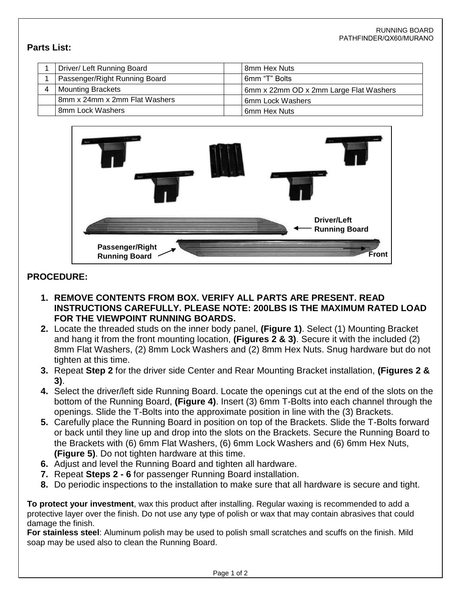## **Parts List:**

| Driver/ Left Running Board    | 8mm Hex Nuts                           |
|-------------------------------|----------------------------------------|
| Passenger/Right Running Board | 6mm "T" Bolts                          |
| <b>Mounting Brackets</b>      | 6mm x 22mm OD x 2mm Large Flat Washers |
| 8mm x 24mm x 2mm Flat Washers | l 6mm Lock Washers                     |
| 8mm Lock Washers              | l 6mm Hex Nuts                         |



## **PROCEDURE:**

- **1. REMOVE CONTENTS FROM BOX. VERIFY ALL PARTS ARE PRESENT. READ INSTRUCTIONS CAREFULLY. PLEASE NOTE: 200LBS IS THE MAXIMUM RATED LOAD FOR THE VIEWPOINT RUNNING BOARDS.**
- **2.** Locate the threaded studs on the inner body panel, **(Figure 1)**. Select (1) Mounting Bracket and hang it from the front mounting location, **(Figures 2 & 3)**. Secure it with the included (2) 8mm Flat Washers, (2) 8mm Lock Washers and (2) 8mm Hex Nuts. Snug hardware but do not tighten at this time.
- **3.** Repeat **Step 2** for the driver side Center and Rear Mounting Bracket installation, **(Figures 2 & 3)**.
- **4.** Select the driver/left side Running Board. Locate the openings cut at the end of the slots on the bottom of the Running Board, **(Figure 4)**. Insert (3) 6mm T-Bolts into each channel through the openings. Slide the T-Bolts into the approximate position in line with the (3) Brackets.
- **5.** Carefully place the Running Board in position on top of the Brackets. Slide the T-Bolts forward or back until they line up and drop into the slots on the Brackets. Secure the Running Board to the Brackets with (6) 6mm Flat Washers, (6) 6mm Lock Washers and (6) 6mm Hex Nuts, **(Figure 5)**. Do not tighten hardware at this time.
- **6.** Adjust and level the Running Board and tighten all hardware.
- **7.** Repeat **Steps 2 6** for passenger Running Board installation.
- **8.** Do periodic inspections to the installation to make sure that all hardware is secure and tight.

**To protect your investment**, wax this product after installing. Regular waxing is recommended to add a protective layer over the finish. Do not use any type of polish or wax that may contain abrasives that could damage the finish.

**For stainless steel**: Aluminum polish may be used to polish small scratches and scuffs on the finish. Mild soap may be used also to clean the Running Board.